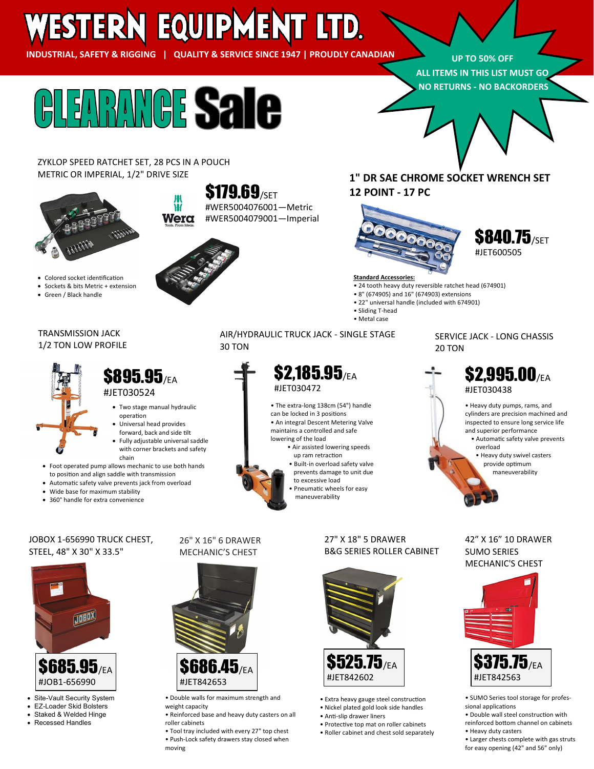# WESTERN EQUIPMENT LTD.

**INDUSTRIAL, SAFETY & RIGGING | QUALITY & SERVICE SINCE 1947 | PROUDLY CANADIAN**

**UP TO 50% OFF ALL ITEMS IN THIS LIST MUST GO NO RETURNS - NO BACKORDERS**



Wera

ZYKLOP SPEED RATCHET SET, 28 PCS IN A POUCH METRIC OR IMPERIAL, 1/2" DRIVE SIZE



- Colored socket identification
- Sockets & bits Metric + extension
- Green / Black handle

#### TRANSMISSION JACK 1/2 TON LOW PROFILE



## **\$895.95**/FA #JET030524

- Two stage manual hydraulic
- Universal head provides
- forward, back and side tilt
- with corner brackets and safety chain
- Foot operated pump allows mechanic to use both hands to position and align saddle with transmission
- 
- 360° handle for extra convenience

- operation
- 
- Fully adjustable universal saddle
- 
- Automatic safety valve prevents jack from overload
- Wide base for maximum stability
- 

**\$179.69**/SET

#WER5004076001—Metric #WER5004079001—Imperial

## **1" DR SAE CHROME SOCKET WRENCH SET 12 POINT - 17 PC**



## **\$840.75/SET** #JET600505

#### **Standard Accessories:**

- 24 tooth heavy duty reversible ratchet head (674901)
- 8" (674905) and 16" (674903) extensions
- 22" universal handle (included with 674901)
- Sliding T-head
- Metal case

#### AIR/HYDRAULIC TRUCK JACK - SINGLE STAGE 30 TON

# **\$2.185.95/EA** #JET030472

• The extra-long 138cm (54") handle can be locked in 3 positions • An integral Descent Metering Valve maintains a controlled and safe lowering of the load

- Air assisted lowering speeds up ram retraction • Built-in overload safety valve
- prevents damage to unit due to excessive load
- Pneumatic wheels for easy maneuverability

#### JOBOX 1-656990 TRUCK CHEST, STEEL, 48" X 30" X 33.5"



- Site-Vault Security System
- EZ-Loader Skid Bolsters
- Staked & Welded Hinge • Recessed Handles

# 26" X 16" 6 DRAWER MECHANIC'S CHEST



• Double walls for maximum strength and weight capacity

• Reinforced base and heavy duty casters on all roller cabinets

• Tool tray included with every 27" top chest • Push-Lock safety drawers stay closed when moving

#### 27" X 18" 5 DRAWER B&G SERIES ROLLER CABINET



- Extra heavy gauge steel construction • Nickel plated gold look side handles
- Anti-slip drawer liners
- Protective top mat on roller cabinets • Roller cabinet and chest sold separately

## SERVICE JACK - LONG CHASSIS 20 TON

**\$2.995.00/EA** #JET030438

> • Heavy duty pumps, rams, and cylinders are precision machined and inspected to ensure long service life and superior performance

 • Automatic safety valve prevents overload

 • Heavy duty swivel casters provide optimum maneuverability

#### 42" X 16" 10 DRAWER SUMO SERIES MECHANIC'S CHEST



- SUMO Series tool storage for professional applications
- Double wall steel construction with reinforced bottom channel on cabinets • Heavy duty casters
- Larger chests complete with gas struts for easy opening (42" and 56" only)